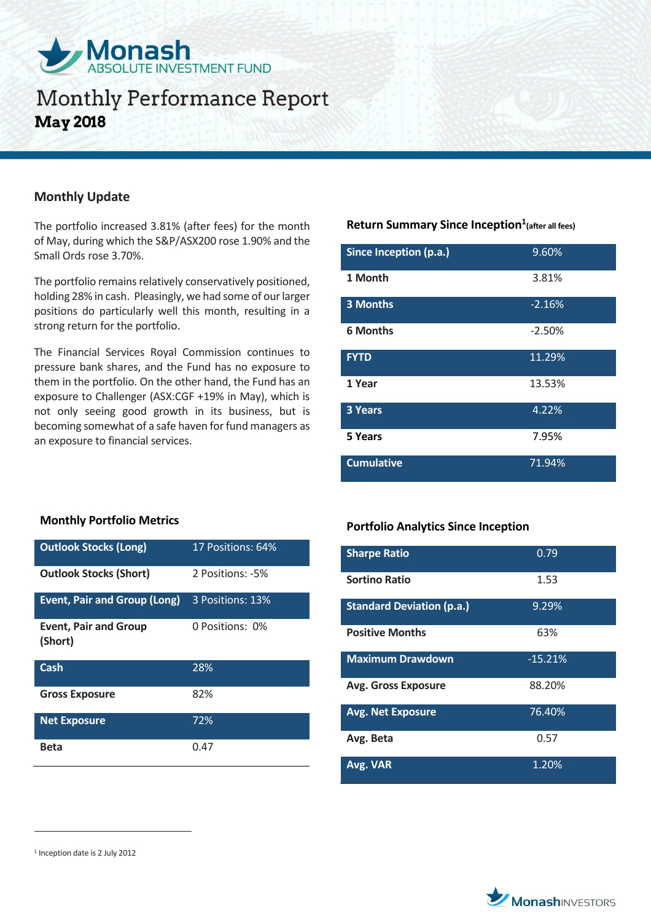

## **Monthly Performance Report May 2018**

### **Monthly Update**

The portfolio increased 3.81% (after fees) for the month of May, during which the S&P/ASX200 rose 1.90% and the Small Ords rose 3.70%.

The portfolio remains relatively conservatively positioned, holding 28% in cash. Pleasingly, we had some of our larger positions do particularly well this month, resulting in a strong return for the portfolio.

The Financial Services Royal Commission continues to pressure bank shares, and the Fund has no exposure to them in the portfolio. On the other hand, the Fund has an exposure to Challenger (ASX:CGF +19% in May), which is not only seeing good growth in its business, but is becoming somewhat of a safe haven for fund managers as an exposure to financial services.

## **Return Summary Since Inception<sup>1</sup> (after all fees)**

| Since Inception (p.a.) | 9.60%    |
|------------------------|----------|
| 1 Month                | 3.81%    |
| 3 Months               | $-2.16%$ |
| <b>6 Months</b>        | $-2.50%$ |
| <b>FYTD</b>            | 11.29%   |
| 1 Year                 | 13.53%   |
| <b>3 Years</b>         | 4.22%    |
| 5 Years                | 7.95%    |
| <b>Cumulative</b>      | 71.94%   |

#### **Monthly Portfolio Metrics**

| <b>Outlook Stocks (Long)</b>            | 17 Positions: 64% |
|-----------------------------------------|-------------------|
| <b>Outlook Stocks (Short)</b>           | 2 Positions: -5%  |
| <b>Event, Pair and Group (Long)</b>     | 3 Positions: 13%  |
| <b>Event, Pair and Group</b><br>(Short) | 0 Positions: 0%   |
| Cash                                    | 28%               |
| <b>Gross Exposure</b>                   | 82%               |
| <b>Net Exposure</b>                     | 72%               |
| Beta                                    | 0.47              |

## **Portfolio Analytics Since Inception**

| <b>Sharpe Ratio</b>              | 0.79      |
|----------------------------------|-----------|
| <b>Sortino Ratio</b>             | 1.53      |
| <b>Standard Deviation (p.a.)</b> | 9.29%     |
| <b>Positive Months</b>           | 63%       |
| <b>Maximum Drawdown</b>          | $-15.21%$ |
| <b>Avg. Gross Exposure</b>       | 88.20%    |
| <b>Avg. Net Exposure</b>         | 76.40%    |
| Avg. Beta                        | 0.57      |
| Avg. VAR                         | 1.20%     |

 $\overline{a}$ 



<sup>1</sup> Inception date is 2 July 2012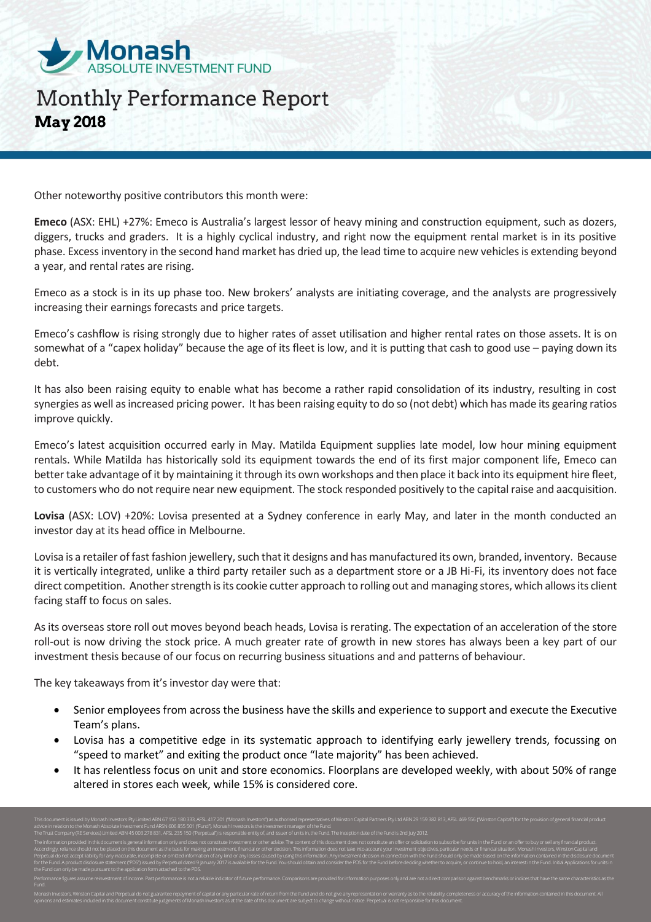

# **Monthly Performance Report May 2018**

Other noteworthy positive contributors this month were:

**Emeco** (ASX: EHL) +27%: Emeco is Australia's largest lessor of heavy mining and construction equipment, such as dozers, diggers, trucks and graders. It is a highly cyclical industry, and right now the equipment rental market is in its positive phase. Excess inventory in the second hand market has dried up, the lead time to acquire new vehicles is extending beyond a year, and rental rates are rising.

Emeco as a stock is in its up phase too. New brokers' analysts are initiating coverage, and the analysts are progressively increasing their earnings forecasts and price targets.

Emeco's cashflow is rising strongly due to higher rates of asset utilisation and higher rental rates on those assets. It is on somewhat of a "capex holiday" because the age of its fleet is low, and it is putting that cash to good use – paying down its debt.

It has also been raising equity to enable what has become a rather rapid consolidation of its industry, resulting in cost synergies as well as increased pricing power. It has been raising equity to do so (not debt) which has made its gearing ratios improve quickly.

Emeco's latest acquisition occurred early in May. Matilda Equipment supplies late model, low hour mining equipment rentals. While Matilda has historically sold its equipment towards the end of its first major component life, Emeco can better take advantage of it by maintaining it through its own workshops and then place it back into its equipment hire fleet, to customers who do not require near new equipment. The stock responded positively to the capital raise and aacquisition.

**Lovisa** (ASX: LOV) +20%: Lovisa presented at a Sydney conference in early May, and later in the month conducted an investor day at its head office in Melbourne.

Lovisa is a retailer of fast fashion jewellery, such that it designs and has manufactured its own, branded, inventory. Because it is vertically integrated, unlike a third party retailer such as a department store or a JB Hi-Fi, its inventory does not face direct competition. Another strength is its cookie cutter approach to rolling out and managing stores, which allows its client facing staff to focus on sales.

As its overseas store roll out moves beyond beach heads, Lovisa is rerating. The expectation of an acceleration of the store roll-out is now driving the stock price. A much greater rate of growth in new stores has always been a key part of our investment thesis because of our focus on recurring business situations and and patterns of behaviour.

The key takeaways from it's investor day were that:

- Senior employees from across the business have the skills and experience to support and execute the Executive Team's plans.
- Lovisa has a competitive edge in its systematic approach to identifying early jewellery trends, focussing on "speed to market" and exiting the product once "late majority" has been achieved.
- It has relentless focus on unit and store economics. Floorplans are developed weekly, with about 50% of range altered in stores each week, while 15% is considered core.

opinions and estimates included in this document constitute judgments of Monash Investors as at the date of this document are subject to change without notice. Perpetual is not responsible for this document.